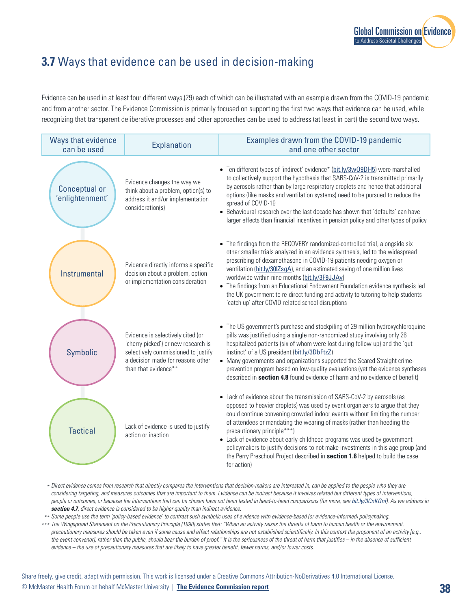## **3.7** Ways that evidence can be used in decision-making

Evidence can be used in at least four different ways,(29) each of which can be illustrated with an example drawn from the COVID-19 pandemic and from another sector. The Evidence Commission is primarily focused on supporting the first two ways that evidence can be used, while recognizing that transparent deliberative processes and other approaches can be used to address (at least in part) the second two ways.

| Ways that evidence<br>can be used       | <b>Explanation</b>                                                                                                                                                           | Examples drawn from the COVID-19 pandemic<br>and one other sector                                                                                                                                                                                                                                                                                                                                                                                                                                                                                                                                               |
|-----------------------------------------|------------------------------------------------------------------------------------------------------------------------------------------------------------------------------|-----------------------------------------------------------------------------------------------------------------------------------------------------------------------------------------------------------------------------------------------------------------------------------------------------------------------------------------------------------------------------------------------------------------------------------------------------------------------------------------------------------------------------------------------------------------------------------------------------------------|
| <b>Conceptual or</b><br>'enlightenment' | Evidence changes the way we<br>think about a problem, option(s) to<br>address it and/or implementation<br>consideration(s)                                                   | • Ten different types of 'indirect' evidence* (bit.ly/3w09DH5) were marshalled<br>to collectively support the hypothesis that SARS-CoV-2 is transmitted primarily<br>by aerosols rather than by large respiratory droplets and hence that additional<br>options (like masks and ventilation systems) need to be pursued to reduce the<br>spread of COVID-19<br>• Behavioural research over the last decade has shown that 'defaults' can have<br>larger effects than financial incentives in pension policy and other types of policy                                                                           |
| Instrumental                            | Evidence directly informs a specific<br>decision about a problem, option<br>or implementation consideration                                                                  | • The findings from the RECOVERY randomized-controlled trial, alongside six<br>other smaller trials analyzed in an evidence synthesis, led to the widespread<br>prescribing of dexamethasone in COVID-19 patients needing oxygen or<br>ventilation (bit.ly/30IZsgA), and an estimated saving of one million lives<br>worldwide within nine months (bit.ly/3F9JJAy)<br>• The findings from an Educational Endowment Foundation evidence synthesis led<br>the UK government to re-direct funding and activity to tutoring to help students<br>'catch up' after COVID-related school disruptions                   |
| Symbolic                                | Evidence is selectively cited (or<br>'cherry picked') or new research is<br>selectively commissioned to justify<br>a decision made for reasons other<br>than that evidence** | • The US government's purchase and stockpiling of 29 million hydroxychloroquine<br>pills was justified using a single non-randomized study involving only 26<br>hospitalized patients (six of whom were lost during follow-up) and the 'gut<br>instinct' of a US president (bit.ly/3DbFtzZ)<br>• Many governments and organizations supported the Scared Straight crime-<br>prevention program based on low-quality evaluations (yet the evidence syntheses<br>described in <b>section 4.8</b> found evidence of harm and no evidence of benefit)                                                               |
| <b>Tactical</b>                         | Lack of evidence is used to justify<br>action or inaction                                                                                                                    | • Lack of evidence about the transmission of SARS-CoV-2 by aerosols (as<br>opposed to heavier droplets) was used by event organizers to argue that they<br>could continue convening crowded indoor events without limiting the number<br>of attendees or mandating the wearing of masks (rather than heeding the<br>precautionary principle***)<br>• Lack of evidence about early-childhood programs was used by government<br>policymakers to justify decisions to not make investments in this age group (and<br>the Perry Preschool Project described in section 1.6 helped to build the case<br>for action) |

- *\* Direct evidence comes from research that directly compares the interventions that decision-makers are interested in, can be applied to the people who they are considering targeting, and measures outcomes that are important to them. Evidence can be indirect because it involves related but different types of interventions, people or outcomes, or because the interventions that can be chosen have not been tested in head-to-head comparisons (for more, see [bit.ly/3CnKGnf](http://bit.ly/3CnKGnf)). As we address in section 4.7, direct evidence is considered to be higher quality than indirect evidence.*
- *\*\* Some people use the term 'policy-based evidence' to contrast such symbolic uses of evidence with evidence-based (or evidence-informed) policymaking.*
- *\*\*\* The Wingspread Statement on the Precautionary Principle (1998) states that: "When an activity raises the threats of harm to human health or the environment, precautionary measures should be taken even if some cause and effect relationships are not established scientifically. In this context the proponent of an activity [e.g., the event convenor], rather than the public, should bear the burden of proof." It is the seriousness of the threat of harm that justifies – in the absence of sufficient evidence – the use of precautionary measures that are likely to have greater benefit, fewer harms, and/or lower costs.*

Share freely, give credit, adapt with permission. This work is licensed under a Creative Commons Attribution-NoDerivatives 4.0 International License. © McMaster Health Forum on behalf McMaster University | **[The Evidence Commission report](https://www.mcmasterforum.org/networks/evidence-commission/report/english) 38**